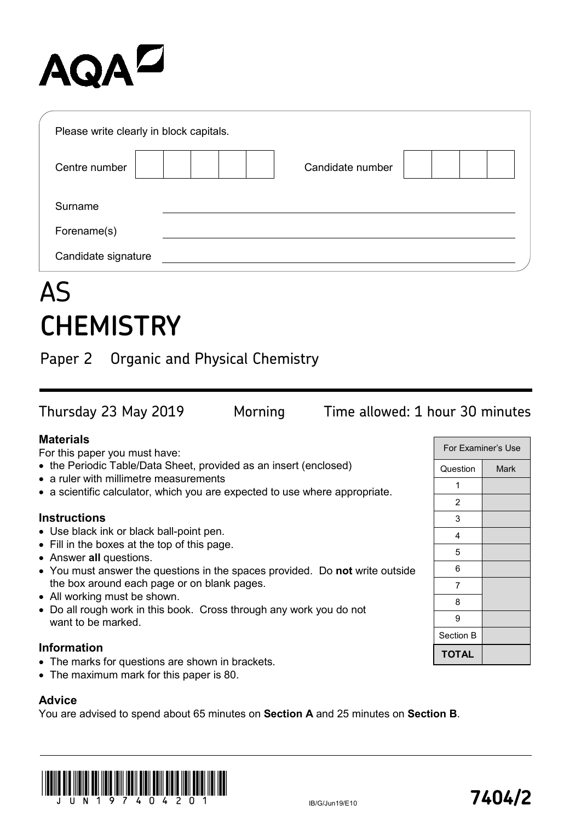# AQA<sup>Z</sup>

| Please write clearly in block capitals. |  |                  |  |  |  |  |
|-----------------------------------------|--|------------------|--|--|--|--|
| Centre number                           |  | Candidate number |  |  |  |  |
| Surname                                 |  |                  |  |  |  |  |
| Forename(s)                             |  |                  |  |  |  |  |
| Candidate signature                     |  |                  |  |  |  |  |

## AS **CHEMISTRY**

Paper 2 Organic and Physical Chemistry

For Examiner's Use Question Mark 1 2 3 4 Thursday 23 May 2019 Morning Time allowed: 1 hour 30 minutes **Materials** For this paper you must have: • the Periodic Table/Data Sheet, provided as an insert (enclosed) • a ruler with millimetre measurements • a scientific calculator, which you are expected to use where appropriate. **Instructions** • Use black ink or black ball-point pen.

- Fill in the boxes at the top of this page.
- Answer **all** questions.
- You must answer the questions in the spaces provided. Do **not** write outside the box around each page or on blank pages.
- All working must be shown.
- Do all rough work in this book. Cross through any work you do not want to be marked.

#### **Information**

- The marks for questions are shown in brackets.
- The maximum mark for this paper is 80.

#### **Advice**

You are advised to spend about 65 minutes on **Section A** and 25 minutes on **Section B**.



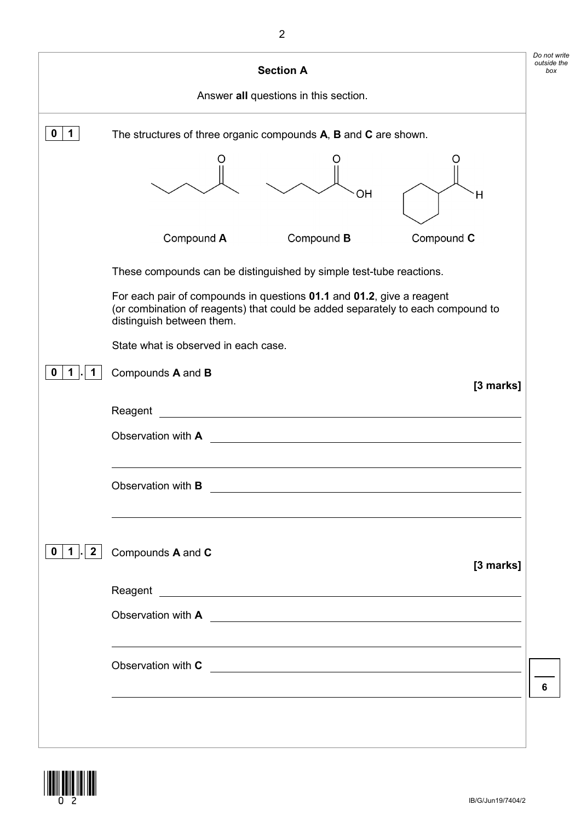|                        | <b>Section A</b>                                                                                                                                                                      |
|------------------------|---------------------------------------------------------------------------------------------------------------------------------------------------------------------------------------|
|                        | Answer all questions in this section.                                                                                                                                                 |
| 1<br>0                 | The structures of three organic compounds A, B and C are shown.                                                                                                                       |
|                        |                                                                                                                                                                                       |
|                        |                                                                                                                                                                                       |
|                        | OН<br>Η                                                                                                                                                                               |
|                        | Compound A<br>Compound B<br>Compound C                                                                                                                                                |
|                        | These compounds can be distinguished by simple test-tube reactions.                                                                                                                   |
|                        | For each pair of compounds in questions 01.1 and 01.2, give a reagent<br>(or combination of reagents) that could be added separately to each compound to<br>distinguish between them. |
|                        | State what is observed in each case.                                                                                                                                                  |
|                        | Compounds A and B<br>[3 marks]                                                                                                                                                        |
|                        | Reagent                                                                                                                                                                               |
|                        | Observation with A                                                                                                                                                                    |
|                        |                                                                                                                                                                                       |
|                        | Observation with <b>B</b>                                                                                                                                                             |
|                        |                                                                                                                                                                                       |
| $\mathbf{2}$<br>0<br>1 | Compounds A and C                                                                                                                                                                     |
|                        | [3 marks]                                                                                                                                                                             |
|                        |                                                                                                                                                                                       |
|                        |                                                                                                                                                                                       |
|                        |                                                                                                                                                                                       |
|                        | Observation with C                                                                                                                                                                    |
|                        |                                                                                                                                                                                       |
|                        |                                                                                                                                                                                       |
|                        |                                                                                                                                                                                       |

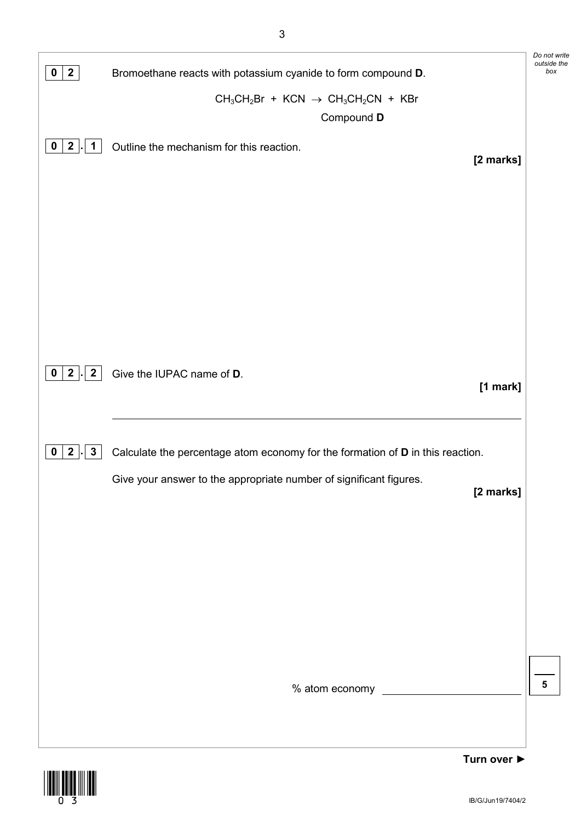| $\mathbf{2}$<br>$\bf{0}$                           | Bromoethane reacts with potassium cyanide to form compound D.                   | Do not write<br>outside the<br>box |
|----------------------------------------------------|---------------------------------------------------------------------------------|------------------------------------|
|                                                    | $CH_3CH_2Br + KCN \rightarrow CH_3CH_2CN + KBr$                                 |                                    |
|                                                    | Compound D                                                                      |                                    |
| $\mathbf{2}$<br>$\mathbf{1}$<br>$\mathbf{0}$<br>L. | Outline the mechanism for this reaction.                                        |                                    |
|                                                    | [2 marks]                                                                       |                                    |
|                                                    |                                                                                 |                                    |
|                                                    |                                                                                 |                                    |
|                                                    |                                                                                 |                                    |
|                                                    |                                                                                 |                                    |
|                                                    |                                                                                 |                                    |
|                                                    |                                                                                 |                                    |
|                                                    |                                                                                 |                                    |
|                                                    |                                                                                 |                                    |
| 2 <sub>1</sub><br>$\overline{2}$<br>$\mathbf{0}$   | Give the IUPAC name of D.                                                       |                                    |
|                                                    | [1 mark]                                                                        |                                    |
|                                                    |                                                                                 |                                    |
| $\mathbf{2}$<br>$3\phantom{a}$<br>0                |                                                                                 |                                    |
|                                                    | Calculate the percentage atom economy for the formation of D in this reaction.  |                                    |
|                                                    | Give your answer to the appropriate number of significant figures.<br>[2 marks] |                                    |
|                                                    |                                                                                 |                                    |
|                                                    |                                                                                 |                                    |
|                                                    |                                                                                 |                                    |
|                                                    |                                                                                 |                                    |
|                                                    |                                                                                 |                                    |
|                                                    |                                                                                 |                                    |
|                                                    |                                                                                 |                                    |
|                                                    |                                                                                 |                                    |
|                                                    | % atom economy                                                                  | 5                                  |
|                                                    |                                                                                 |                                    |
|                                                    |                                                                                 |                                    |

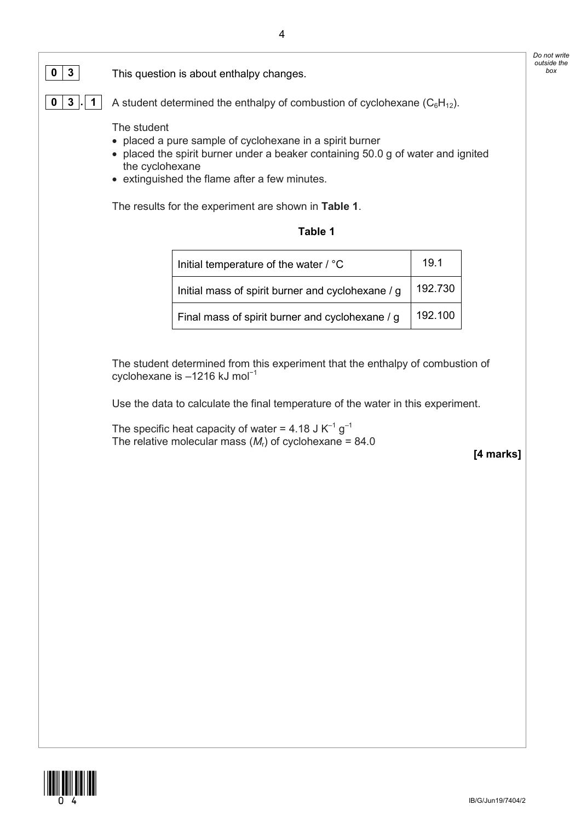

**0** | **3**  $\vert \cdot \vert$  | A student determined the enthalpy of combustion of cyclohexane  $(C_6H_{12})$ .

The student

- placed a pure sample of cyclohexane in a spirit burner
- placed the spirit burner under a beaker containing 50.0 g of water and ignited the cyclohexane
- extinguished the flame after a few minutes.

The results for the experiment are shown in **Table 1**.

| Table |  |
|-------|--|
|-------|--|

| Initial temperature of the water / °C             | 19.1    |
|---------------------------------------------------|---------|
| Initial mass of spirit burner and cyclohexane / g | 192.730 |
| Final mass of spirit burner and cyclohexane / g   | 192.100 |

The student determined from this experiment that the enthalpy of combustion of cyclohexane is –1216 kJ mol<sup>-1</sup>

Use the data to calculate the final temperature of the water in this experiment.

The specific heat capacity of water = 4.18 J  $K^{-1}$  g<sup>-1</sup> The relative molecular mass  $(M<sub>r</sub>)$  of cyclohexane = 84.0

**[4 marks]**

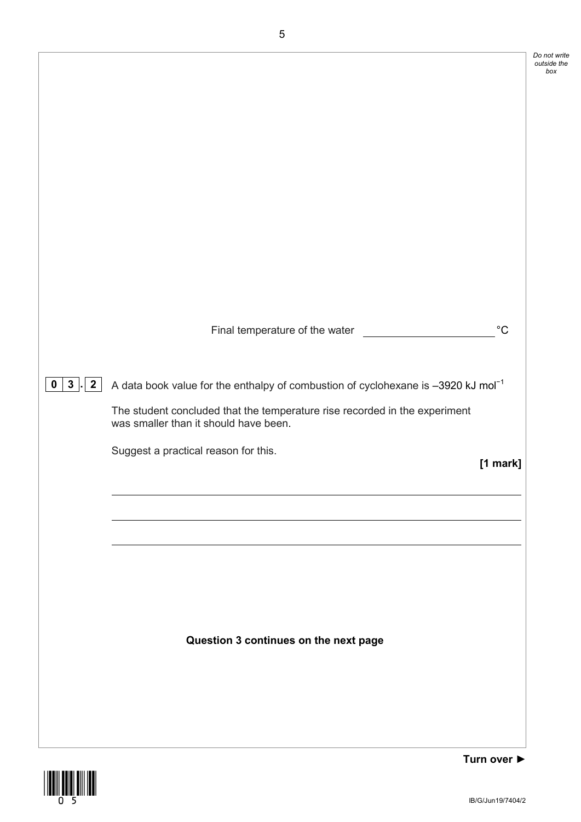|                                                 |                                                                                                                                                                                                                                                                            | Do not write<br>outside the<br>box |
|-------------------------------------------------|----------------------------------------------------------------------------------------------------------------------------------------------------------------------------------------------------------------------------------------------------------------------------|------------------------------------|
|                                                 | $^{\circ}C$<br>Final temperature of the water                                                                                                                                                                                                                              |                                    |
| 3 <sup>1</sup><br>$\overline{2}$<br>$\mathbf 0$ | A data book value for the enthalpy of combustion of cyclohexane is $-3920$ kJ mol <sup>-1</sup><br>The student concluded that the temperature rise recorded in the experiment<br>was smaller than it should have been.<br>Suggest a practical reason for this.<br>[1 mark] |                                    |
|                                                 | Question 3 continues on the next page                                                                                                                                                                                                                                      |                                    |
|                                                 | Turn over $\blacktriangleright$                                                                                                                                                                                                                                            |                                    |



IB/G/Jun19/7404/2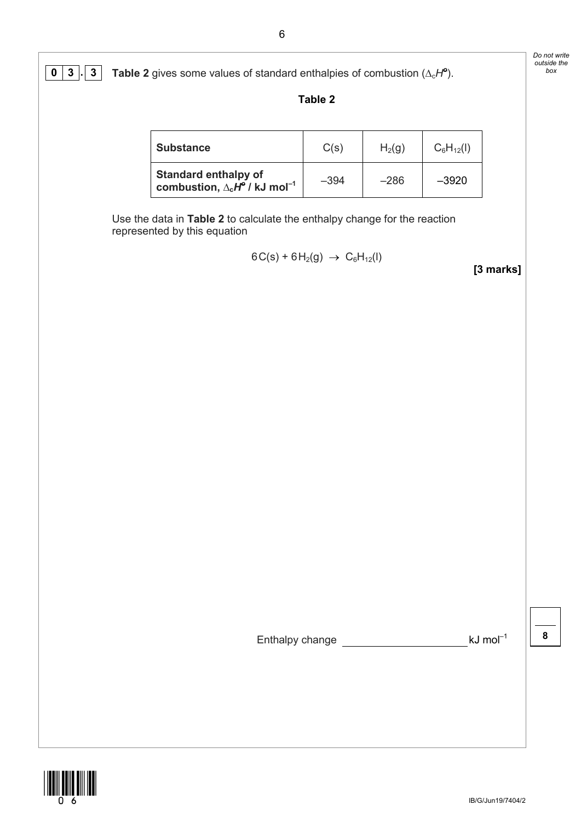| <b>Substance</b>                                                                       | C(s)   | H <sub>2</sub> (g) | $C_6H_{12}(I)$ |
|----------------------------------------------------------------------------------------|--------|--------------------|----------------|
| <b>Standard enthalpy of</b><br>combustion, $\Delta_c H^{\circ}$ / kJ mol <sup>-1</sup> | $-394$ | $-286$             | $-3920$        |

Use the data in **Table 2** to calculate the enthalpy change for the reaction represented by this equation

$$
6C(s) + 6H2(g) \rightarrow C6H12(I)
$$

**[3 marks]**

*Do not write outside the* 

Enthalpy change  $\frac{1}{\sqrt{8}}$  kJ mol<sup>-1</sup>



IB/G/Jun19/7404/2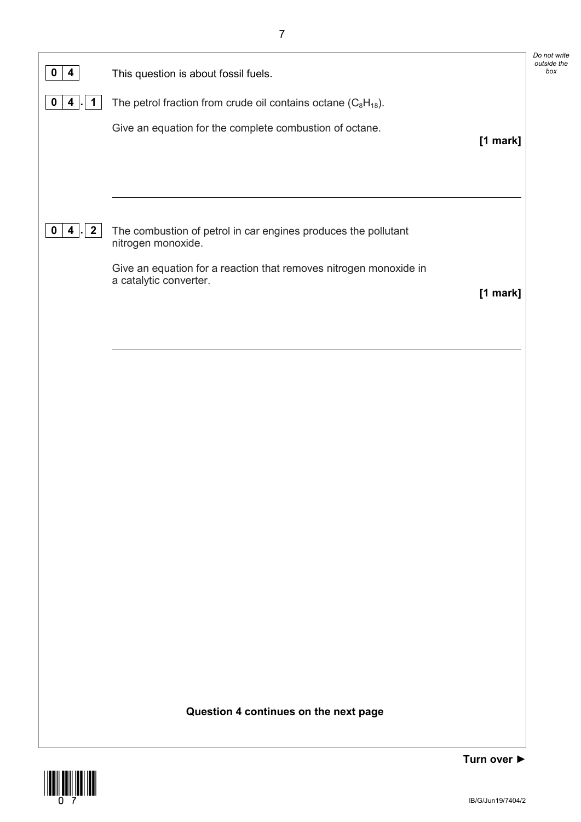| $\overline{\mathbf{4}}$<br>$\mathbf 0$                 | This question is about fossil fuels.                                                        | Do not write<br>outside the<br>box |
|--------------------------------------------------------|---------------------------------------------------------------------------------------------|------------------------------------|
| $\mathbf 0$<br>$\overline{\mathbf{4}}$<br>$\mathbf{1}$ | The petrol fraction from crude oil contains octane $(C_8H_{18})$ .                          |                                    |
|                                                        | Give an equation for the complete combustion of octane.<br>[1 mark]                         |                                    |
|                                                        |                                                                                             |                                    |
|                                                        |                                                                                             |                                    |
|                                                        |                                                                                             |                                    |
| $\mathbf{2}$<br>$\mathbf 0$<br>$\overline{\mathbf{4}}$ | The combustion of petrol in car engines produces the pollutant<br>nitrogen monoxide.        |                                    |
|                                                        | Give an equation for a reaction that removes nitrogen monoxide in<br>a catalytic converter. |                                    |
|                                                        | [1 mark]                                                                                    |                                    |
|                                                        |                                                                                             |                                    |
|                                                        |                                                                                             |                                    |
|                                                        |                                                                                             |                                    |
|                                                        |                                                                                             |                                    |
|                                                        |                                                                                             |                                    |
|                                                        |                                                                                             |                                    |
|                                                        |                                                                                             |                                    |
|                                                        |                                                                                             |                                    |
|                                                        |                                                                                             |                                    |
|                                                        |                                                                                             |                                    |
|                                                        |                                                                                             |                                    |
|                                                        |                                                                                             |                                    |
|                                                        |                                                                                             |                                    |
|                                                        |                                                                                             |                                    |
|                                                        | Question 4 continues on the next page                                                       |                                    |
|                                                        |                                                                                             |                                    |

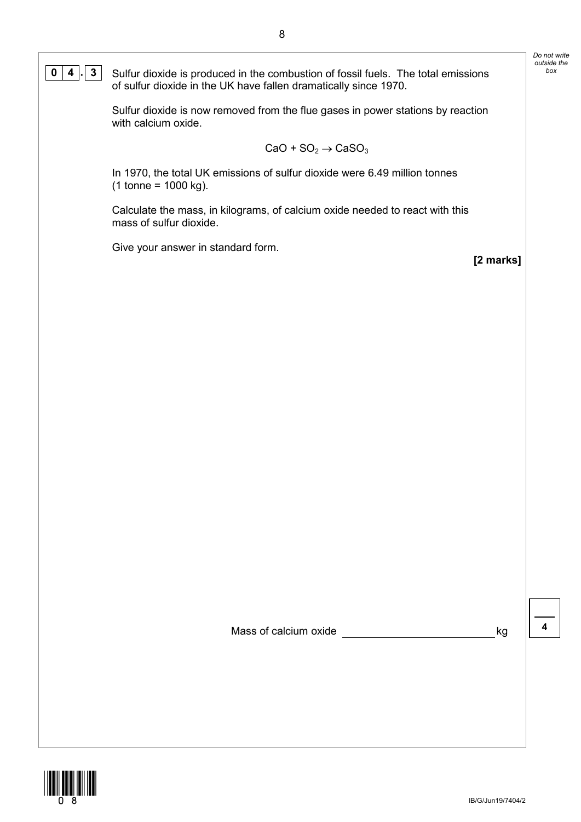Sulfur dioxide is now removed from the flue gases in power stations by reaction with calcium oxide.

$$
\text{CaO} + \text{SO}_2 \rightarrow \text{CaSO}_3
$$

In 1970, the total UK emissions of sulfur dioxide were 6.49 million tonnes  $(1 \text{ tonne} = 1000 \text{ kg}).$ 

Calculate the mass, in kilograms, of calcium oxide needed to react with this mass of sulfur dioxide.

Give your answer in standard form.

**[2 marks]**

*Do not write outside the* 

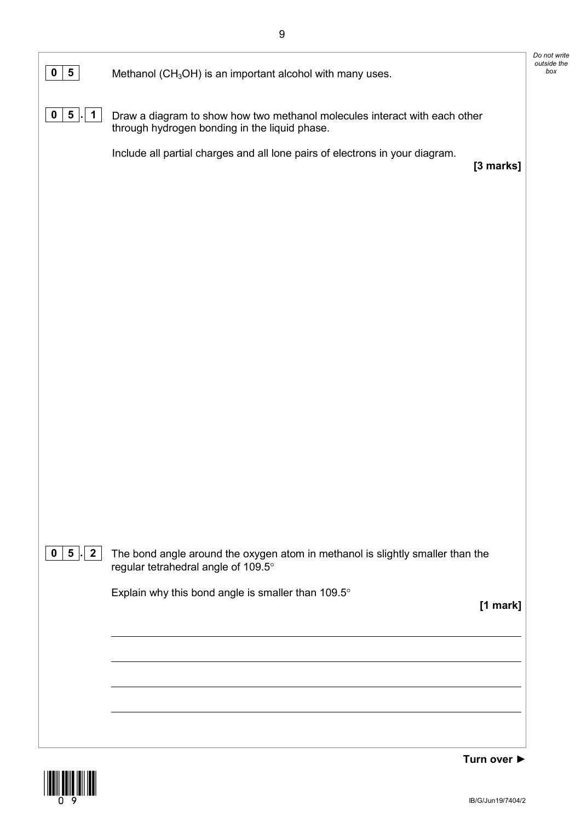| $0 \mid 5 \mid$<br>Methanol (CH <sub>3</sub> OH) is an important alcohol with many uses.<br>$5 \mid$<br>$\mathbf 0$<br>$\mathbf 1$<br>Draw a diagram to show how two methanol molecules interact with each other<br>through hydrogen bonding in the liquid phase.<br>Include all partial charges and all lone pairs of electrons in your diagram.<br>[3 marks]<br>$\mathbf{2}$<br>5 <sub>1</sub><br>$\mathbf 0$<br>The bond angle around the oxygen atom in methanol is slightly smaller than the<br>regular tetrahedral angle of 109.5°<br>Explain why this bond angle is smaller than 109.5°<br>[1 mark] |  |
|------------------------------------------------------------------------------------------------------------------------------------------------------------------------------------------------------------------------------------------------------------------------------------------------------------------------------------------------------------------------------------------------------------------------------------------------------------------------------------------------------------------------------------------------------------------------------------------------------------|--|
|                                                                                                                                                                                                                                                                                                                                                                                                                                                                                                                                                                                                            |  |
|                                                                                                                                                                                                                                                                                                                                                                                                                                                                                                                                                                                                            |  |
|                                                                                                                                                                                                                                                                                                                                                                                                                                                                                                                                                                                                            |  |
|                                                                                                                                                                                                                                                                                                                                                                                                                                                                                                                                                                                                            |  |
|                                                                                                                                                                                                                                                                                                                                                                                                                                                                                                                                                                                                            |  |
|                                                                                                                                                                                                                                                                                                                                                                                                                                                                                                                                                                                                            |  |
|                                                                                                                                                                                                                                                                                                                                                                                                                                                                                                                                                                                                            |  |
|                                                                                                                                                                                                                                                                                                                                                                                                                                                                                                                                                                                                            |  |
|                                                                                                                                                                                                                                                                                                                                                                                                                                                                                                                                                                                                            |  |
|                                                                                                                                                                                                                                                                                                                                                                                                                                                                                                                                                                                                            |  |
|                                                                                                                                                                                                                                                                                                                                                                                                                                                                                                                                                                                                            |  |
|                                                                                                                                                                                                                                                                                                                                                                                                                                                                                                                                                                                                            |  |
|                                                                                                                                                                                                                                                                                                                                                                                                                                                                                                                                                                                                            |  |
|                                                                                                                                                                                                                                                                                                                                                                                                                                                                                                                                                                                                            |  |
|                                                                                                                                                                                                                                                                                                                                                                                                                                                                                                                                                                                                            |  |
|                                                                                                                                                                                                                                                                                                                                                                                                                                                                                                                                                                                                            |  |
|                                                                                                                                                                                                                                                                                                                                                                                                                                                                                                                                                                                                            |  |

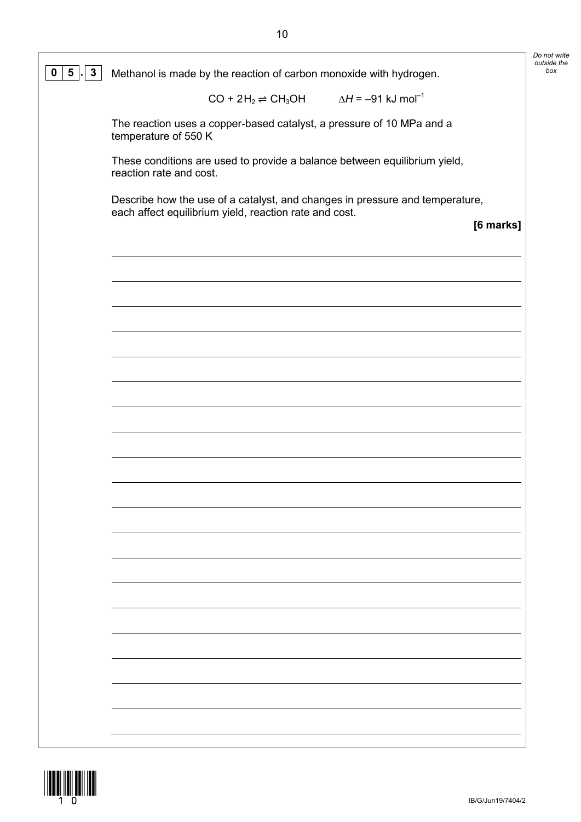| $3\overline{3}$<br>$5 \mid$ | Methanol is made by the reaction of carbon monoxide with hydrogen.                                                                     |           |
|-----------------------------|----------------------------------------------------------------------------------------------------------------------------------------|-----------|
|                             | $CO + 2H_2 \rightleftharpoons CH_3OH$ $\Delta H = -91$ kJ mol <sup>-1</sup>                                                            |           |
|                             | The reaction uses a copper-based catalyst, a pressure of 10 MPa and a<br>temperature of 550 K                                          |           |
|                             | These conditions are used to provide a balance between equilibrium yield,<br>reaction rate and cost.                                   |           |
|                             | Describe how the use of a catalyst, and changes in pressure and temperature,<br>each affect equilibrium yield, reaction rate and cost. |           |
|                             |                                                                                                                                        | [6 marks] |
|                             |                                                                                                                                        |           |
|                             |                                                                                                                                        |           |
|                             |                                                                                                                                        |           |
|                             |                                                                                                                                        |           |
|                             |                                                                                                                                        |           |
|                             |                                                                                                                                        |           |
|                             |                                                                                                                                        |           |
|                             |                                                                                                                                        |           |
|                             |                                                                                                                                        |           |
|                             |                                                                                                                                        |           |
|                             |                                                                                                                                        |           |
|                             |                                                                                                                                        |           |
|                             |                                                                                                                                        |           |
|                             |                                                                                                                                        |           |
|                             |                                                                                                                                        |           |
|                             |                                                                                                                                        |           |
|                             |                                                                                                                                        |           |

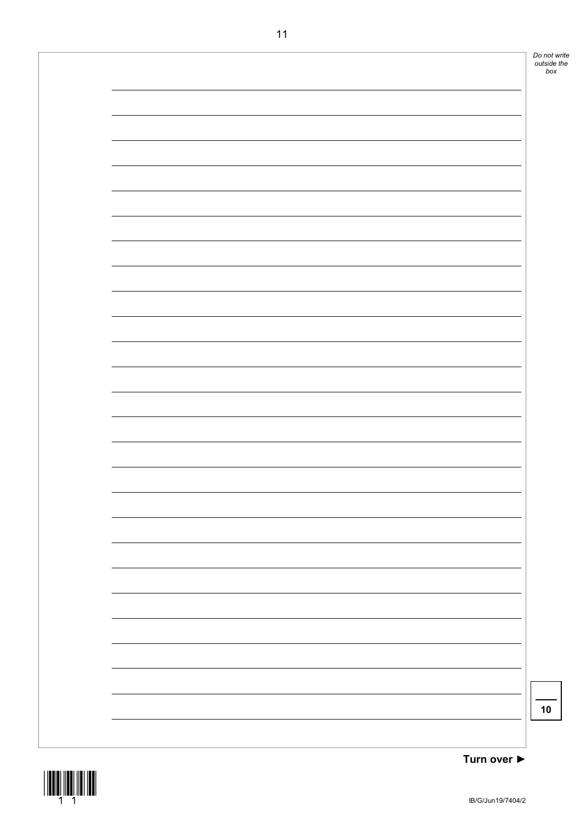

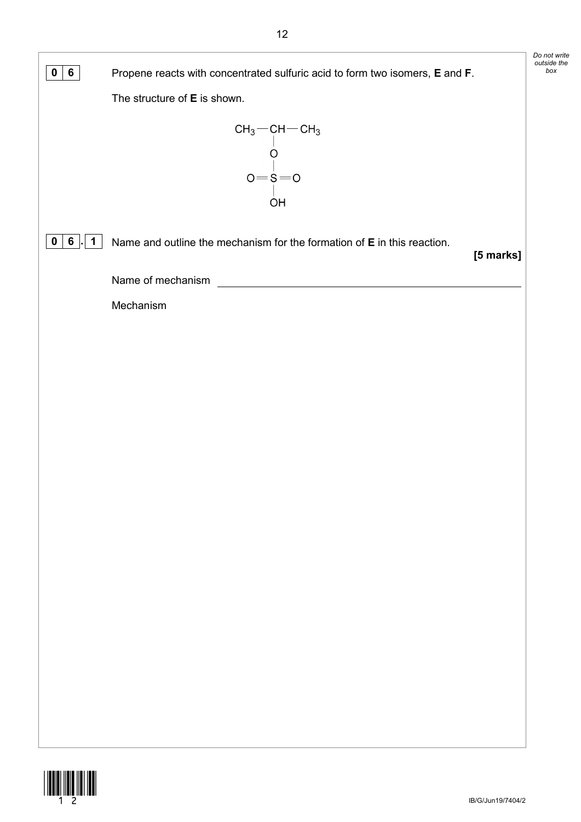|                                |                                                                                      | Do not write<br>outside the |
|--------------------------------|--------------------------------------------------------------------------------------|-----------------------------|
| $6\phantom{.}6$<br>$\mathbf 0$ | Propene reacts with concentrated sulfuric acid to form two isomers, E and F.         | box                         |
|                                | The structure of E is shown.                                                         |                             |
|                                | $CH_3$ - $CH$ - $CH_3$<br>$0 = 8 = 0$<br>O <sub>H</sub>                              |                             |
| 6<br>$\mathbf 1$<br>$\bf{0}$   | Name and outline the mechanism for the formation of E in this reaction.<br>[5 marks] |                             |
|                                | Name of mechanism                                                                    |                             |
|                                | Mechanism                                                                            |                             |
|                                |                                                                                      |                             |
|                                |                                                                                      |                             |
|                                |                                                                                      |                             |
|                                |                                                                                      |                             |
|                                |                                                                                      |                             |
|                                |                                                                                      |                             |
|                                |                                                                                      |                             |
|                                |                                                                                      |                             |
|                                |                                                                                      |                             |
|                                |                                                                                      |                             |
|                                |                                                                                      |                             |
|                                |                                                                                      |                             |
|                                |                                                                                      |                             |
|                                |                                                                                      |                             |
|                                |                                                                                      |                             |
|                                |                                                                                      |                             |
|                                |                                                                                      |                             |
|                                |                                                                                      |                             |

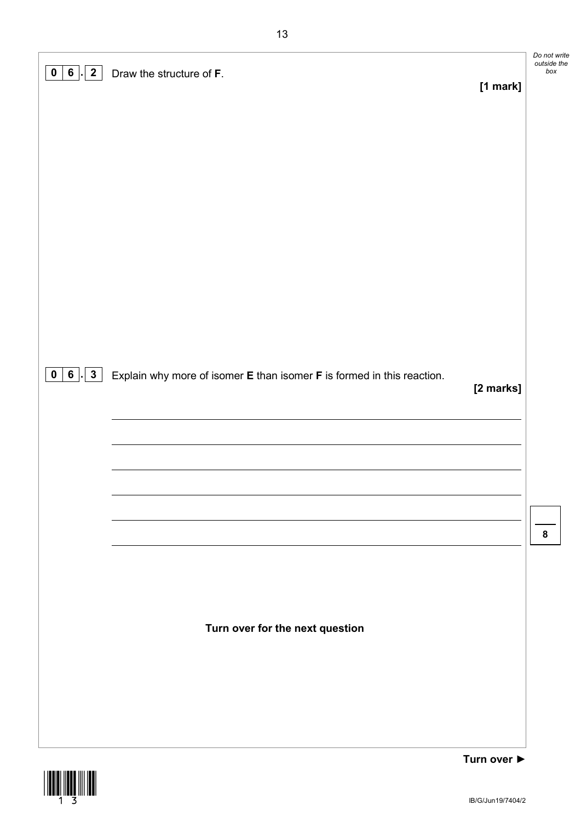| $\vert$ 2<br>0   6 | Draw the structure of F.                                               | Do not write<br>outside the<br>box |
|--------------------|------------------------------------------------------------------------|------------------------------------|
|                    | [1 mark]                                                               |                                    |
|                    |                                                                        |                                    |
|                    |                                                                        |                                    |
|                    |                                                                        |                                    |
|                    |                                                                        |                                    |
|                    |                                                                        |                                    |
|                    |                                                                        |                                    |
|                    |                                                                        |                                    |
|                    |                                                                        |                                    |
|                    |                                                                        |                                    |
| 0   6   3          | Explain why more of isomer E than isomer F is formed in this reaction. |                                    |
|                    | [2 marks]                                                              |                                    |
|                    |                                                                        |                                    |
|                    |                                                                        |                                    |
|                    |                                                                        |                                    |
|                    |                                                                        |                                    |
|                    |                                                                        | 8                                  |
|                    |                                                                        |                                    |
|                    |                                                                        |                                    |
|                    |                                                                        |                                    |
|                    | Turn over for the next question                                        |                                    |
|                    |                                                                        |                                    |
|                    |                                                                        |                                    |
|                    |                                                                        |                                    |
|                    |                                                                        |                                    |



IB/G/Jun19/7404/2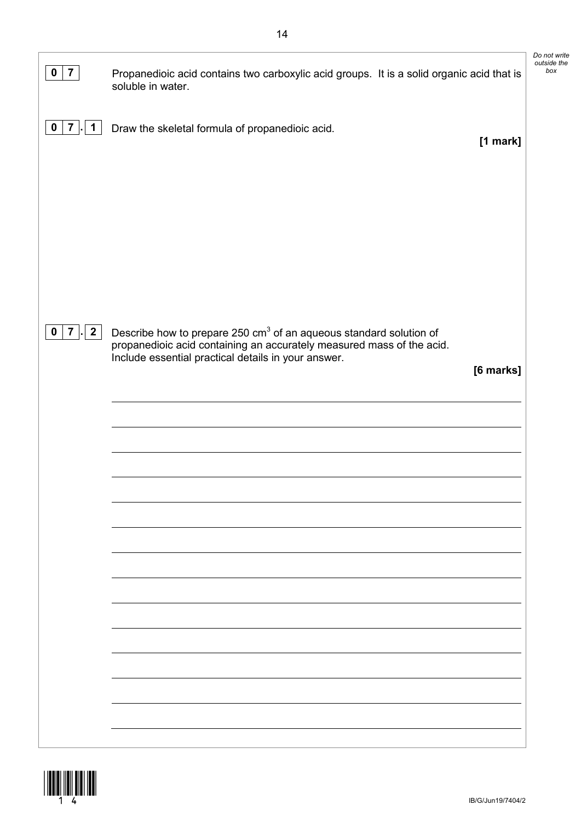| $\overline{7}$<br>$\mathbf 0$ | Propanedioic acid contains two carboxylic acid groups. It is a solid organic acid that is<br>soluble in water.                            | Do not write<br>outside the<br>box |
|-------------------------------|-------------------------------------------------------------------------------------------------------------------------------------------|------------------------------------|
| $\mathbf 0$<br>7<br>1         | Draw the skeletal formula of propanedioic acid.<br>[1 mark]                                                                               |                                    |
|                               |                                                                                                                                           |                                    |
|                               |                                                                                                                                           |                                    |
| $7 \mid 2$<br>$\mathbf 0$     | Describe how to prepare 250 cm <sup>3</sup> of an aqueous standard solution of                                                            |                                    |
|                               | propanedioic acid containing an accurately measured mass of the acid.<br>Include essential practical details in your answer.<br>[6 marks] |                                    |
|                               |                                                                                                                                           |                                    |
|                               |                                                                                                                                           |                                    |
|                               |                                                                                                                                           |                                    |
|                               |                                                                                                                                           |                                    |
|                               |                                                                                                                                           |                                    |
|                               |                                                                                                                                           |                                    |
|                               |                                                                                                                                           |                                    |

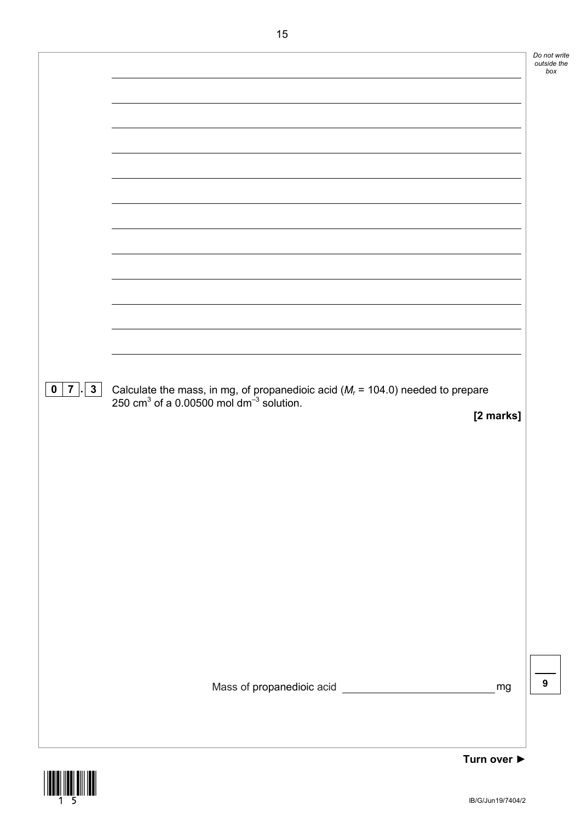|                                 |                                                                                                                                                    | Do n<br>outs |
|---------------------------------|----------------------------------------------------------------------------------------------------------------------------------------------------|--------------|
|                                 |                                                                                                                                                    |              |
|                                 |                                                                                                                                                    |              |
|                                 |                                                                                                                                                    |              |
|                                 |                                                                                                                                                    |              |
|                                 |                                                                                                                                                    |              |
|                                 |                                                                                                                                                    |              |
|                                 |                                                                                                                                                    |              |
|                                 |                                                                                                                                                    |              |
|                                 |                                                                                                                                                    |              |
|                                 |                                                                                                                                                    |              |
|                                 |                                                                                                                                                    |              |
|                                 |                                                                                                                                                    |              |
|                                 |                                                                                                                                                    |              |
|                                 |                                                                                                                                                    |              |
|                                 |                                                                                                                                                    |              |
|                                 |                                                                                                                                                    |              |
| $0 \mid 7 \mid$<br>$\mathbf{3}$ | Calculate the mass, in mg, of propanedioic acid ( $M_r$ = 104.0) needed to prepare 250 cm <sup>3</sup> of a 0.00500 mol dm <sup>-3</sup> solution. |              |
|                                 | [2 marks]                                                                                                                                          |              |
|                                 |                                                                                                                                                    |              |
|                                 |                                                                                                                                                    |              |
|                                 |                                                                                                                                                    |              |
|                                 |                                                                                                                                                    |              |
|                                 |                                                                                                                                                    |              |
|                                 |                                                                                                                                                    |              |
|                                 |                                                                                                                                                    |              |
|                                 |                                                                                                                                                    |              |
|                                 |                                                                                                                                                    |              |
|                                 |                                                                                                                                                    |              |
|                                 |                                                                                                                                                    |              |
|                                 |                                                                                                                                                    |              |
|                                 |                                                                                                                                                    |              |
|                                 | mg                                                                                                                                                 | 9            |
|                                 |                                                                                                                                                    |              |
|                                 |                                                                                                                                                    |              |
|                                 |                                                                                                                                                    |              |
|                                 | Turn over ▶                                                                                                                                        |              |

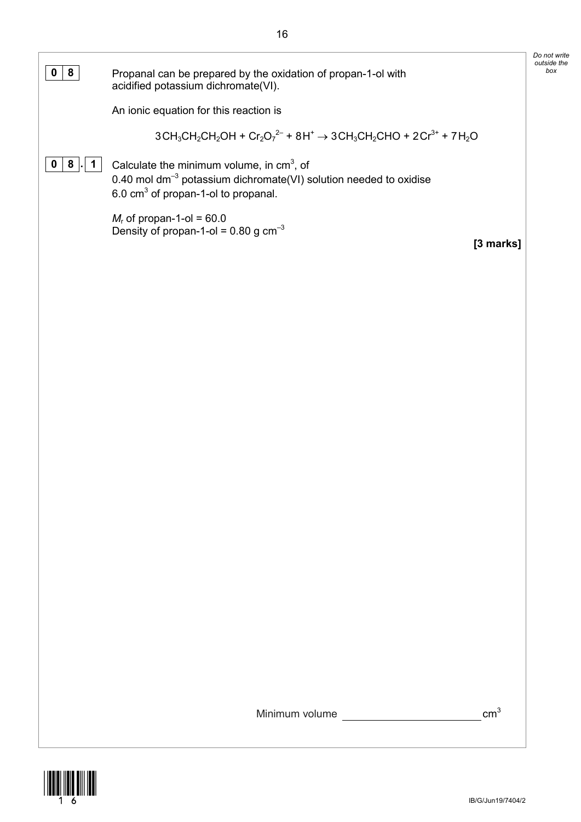| 8<br>0           | Propanal can be prepared by the oxidation of propan-1-ol with<br>acidified potassium dichromate(VI).                                                                            | Do not write<br>outside the<br>box |
|------------------|---------------------------------------------------------------------------------------------------------------------------------------------------------------------------------|------------------------------------|
|                  | An ionic equation for this reaction is                                                                                                                                          |                                    |
|                  | $3CH_3CH_2CH_2OH + Cr_2O_7^{2-} + 8H^+ \rightarrow 3CH_3CH_2CHO + 2Cr^{3+} + 7H_2O$                                                                                             |                                    |
| 8<br>1<br>0      | Calculate the minimum volume, in $cm3$ , of<br>0.40 mol dm <sup>-3</sup> potassium dichromate(VI) solution needed to oxidise<br>6.0 cm <sup>3</sup> of propan-1-ol to propanal. |                                    |
|                  | $M_r$ of propan-1-ol = 60.0<br>Density of propan-1-ol = $0.80$ g cm <sup>-3</sup><br>[3 marks]                                                                                  |                                    |
|                  |                                                                                                                                                                                 |                                    |
|                  |                                                                                                                                                                                 |                                    |
|                  |                                                                                                                                                                                 |                                    |
|                  |                                                                                                                                                                                 |                                    |
|                  |                                                                                                                                                                                 |                                    |
|                  |                                                                                                                                                                                 |                                    |
|                  |                                                                                                                                                                                 |                                    |
|                  |                                                                                                                                                                                 |                                    |
|                  |                                                                                                                                                                                 |                                    |
|                  |                                                                                                                                                                                 |                                    |
|                  |                                                                                                                                                                                 |                                    |
|                  |                                                                                                                                                                                 |                                    |
|                  |                                                                                                                                                                                 |                                    |
|                  |                                                                                                                                                                                 |                                    |
|                  |                                                                                                                                                                                 |                                    |
|                  | cm <sup>3</sup><br>Minimum volume <b>Minimum</b>                                                                                                                                |                                    |
| ________________ |                                                                                                                                                                                 |                                    |

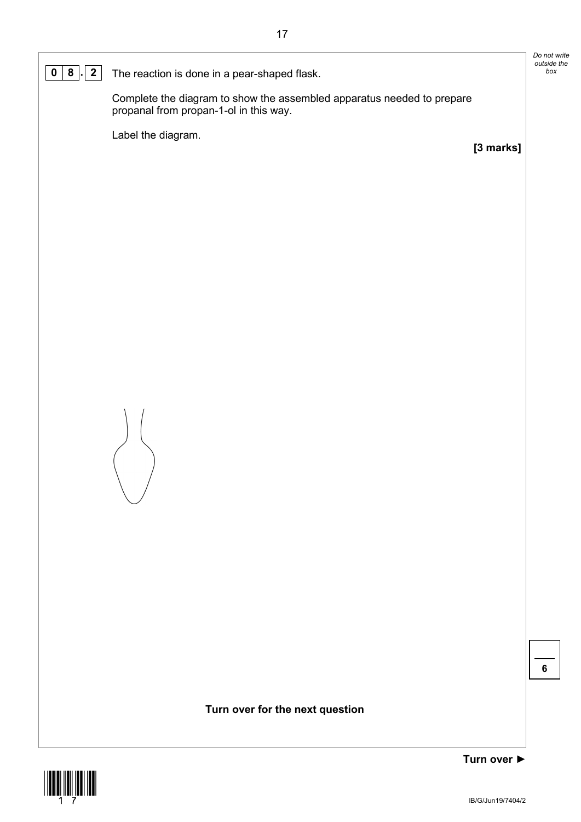**0 8**  $\cdot$  **2** The reaction is done in a pear-shaped flask.

Complete the diagram to show the assembled apparatus needed to prepare propanal from propan-1-ol in this way.

Label the diagram.

**[3 marks]**

*Do not write outside the* 



**Turn over for the next question**



**Turn over ►**

**6**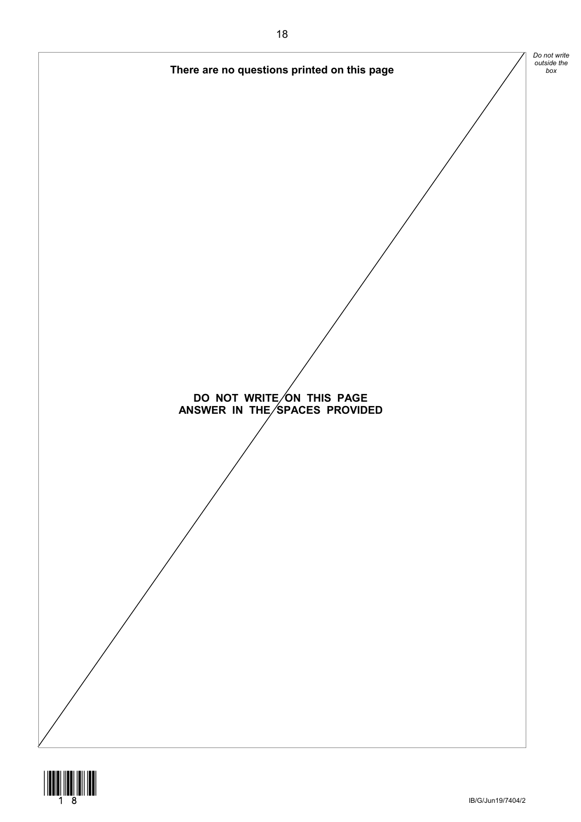

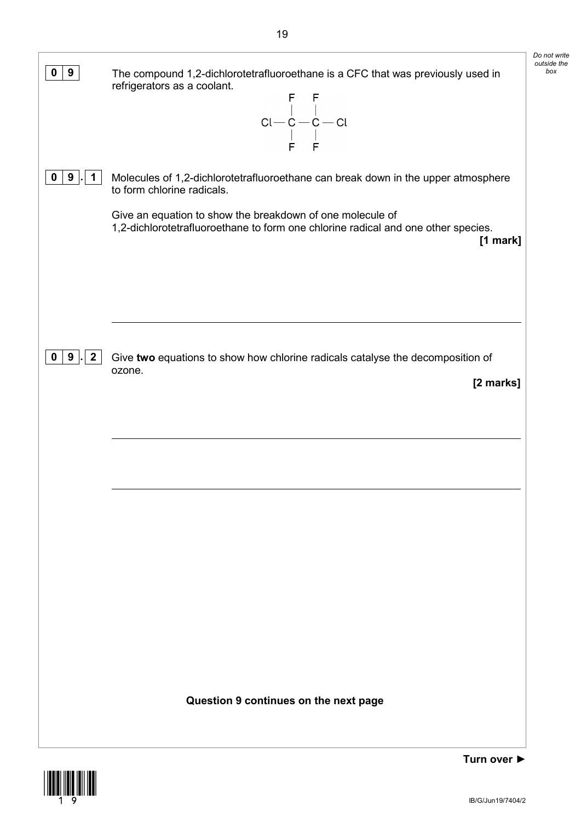| 9<br>0                 | The compound 1,2-dichlorotetrafluoroethane is a CFC that was previously used in<br>refrigerators as a coolant.<br>$\begin{array}{c} F \quad F \\   \quad   \quad   \\ Cl - C - C - C   \\   \quad   \quad   \quad   \\ F \quad F \end{array}$                                   | Do not write<br>outside the<br>box |
|------------------------|---------------------------------------------------------------------------------------------------------------------------------------------------------------------------------------------------------------------------------------------------------------------------------|------------------------------------|
| 9<br>1<br>o            | Molecules of 1,2-dichlorotetrafluoroethane can break down in the upper atmosphere<br>to form chlorine radicals.<br>Give an equation to show the breakdown of one molecule of<br>1,2-dichlorotetrafluoroethane to form one chlorine radical and one other species.<br>$[1$ mark] |                                    |
| 9<br>$\mathbf{2}$<br>0 | Give two equations to show how chlorine radicals catalyse the decomposition of<br>ozone.<br>[2 marks]                                                                                                                                                                           |                                    |
|                        |                                                                                                                                                                                                                                                                                 |                                    |
|                        |                                                                                                                                                                                                                                                                                 |                                    |
|                        | Question 9 continues on the next page                                                                                                                                                                                                                                           |                                    |

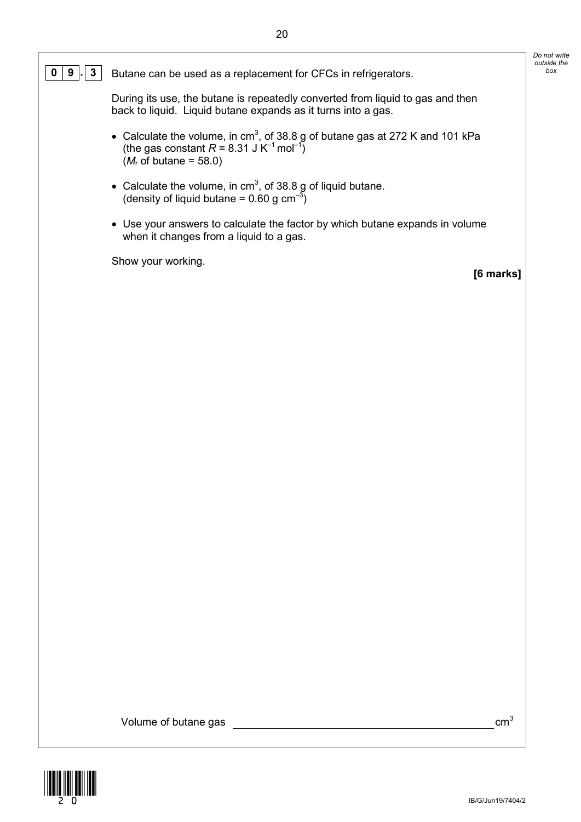### **0 9** . **3** Butane can be used as a replacement for CFCs in refrigerators.

During its use, the butane is repeatedly converted from liquid to gas and then back to liquid. Liquid butane expands as it turns into a gas.

- Calculate the volume, in cm<sup>3</sup>, of 38.8 g of butane gas at 272 K and 101 kPa (the gas constant  $R = 8.31 \, \text{J K}^{-1} \, \text{mol}^{-1}$ )  $(M<sub>r</sub>$  of butane = 58.0)
- Calculate the volume, in cm<sup>3</sup>, of 38.8 g of liquid butane. (density of liquid butane = 0.60 g  $\text{cm}^{-3}$ )
- Use your answers to calculate the factor by which butane expands in volume when it changes from a liquid to a gas.

Show your working.

**[6 marks]**

*Do not write outside the* 

Volume of butane gas  $cm<sup>3</sup>$ 

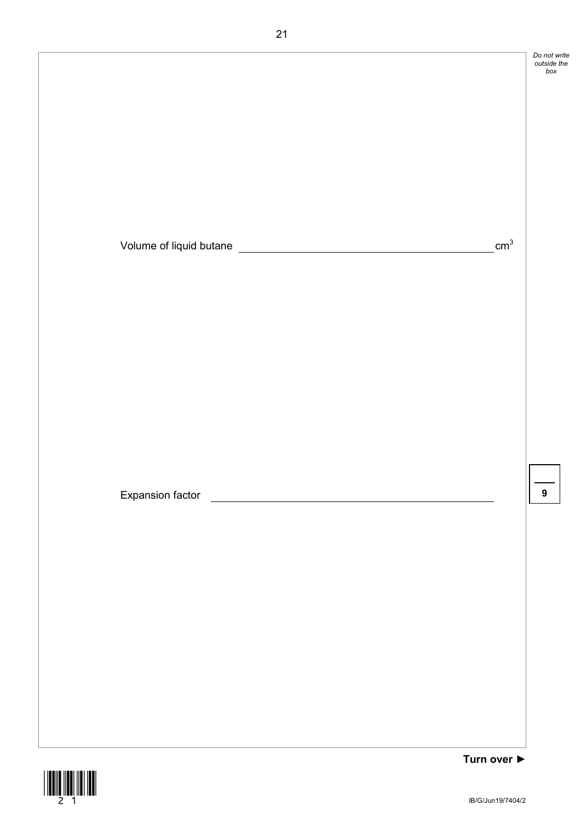

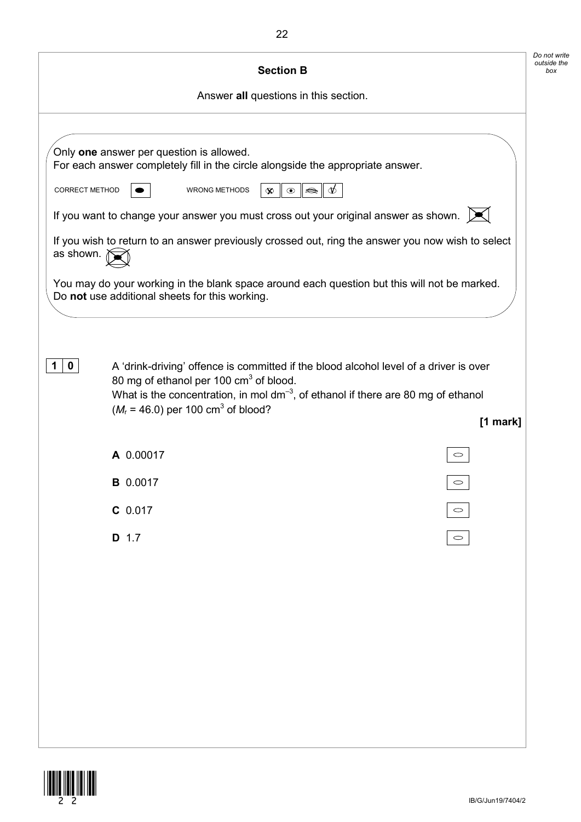|                | <b>Section B</b>                                                                                                                                                                                                                                                                          |                        | Do not write<br>outside the<br>box |
|----------------|-------------------------------------------------------------------------------------------------------------------------------------------------------------------------------------------------------------------------------------------------------------------------------------------|------------------------|------------------------------------|
|                | Answer all questions in this section.                                                                                                                                                                                                                                                     |                        |                                    |
|                |                                                                                                                                                                                                                                                                                           |                        |                                    |
|                | Only one answer per question is allowed.<br>For each answer completely fill in the circle alongside the appropriate answer.                                                                                                                                                               |                        |                                    |
| CORRECT METHOD | $\odot$<br><b>WRONG METHODS</b><br>$\infty$                                                                                                                                                                                                                                               | $\;\;\iff\;\;$         |                                    |
|                | If you want to change your answer you must cross out your original answer as shown. $\mathbb{X}$                                                                                                                                                                                          |                        |                                    |
| as shown.      | If you wish to return to an answer previously crossed out, ring the answer you now wish to select                                                                                                                                                                                         |                        |                                    |
|                | You may do your working in the blank space around each question but this will not be marked.<br>Do not use additional sheets for this working.                                                                                                                                            |                        |                                    |
| $\mathbf 0$    | A 'drink-driving' offence is committed if the blood alcohol level of a driver is over<br>80 mg of ethanol per 100 cm <sup>3</sup> of blood.<br>What is the concentration, in mol $dm^{-3}$ , of ethanol if there are 80 mg of ethanol<br>$(M_r = 46.0)$ per 100 cm <sup>3</sup> of blood? | $[1$ mark]             |                                    |
|                | A 0.00017                                                                                                                                                                                                                                                                                 |                        |                                    |
|                | <b>B</b> 0.0017                                                                                                                                                                                                                                                                           | $\circ$                |                                    |
|                | $C$ 0.017                                                                                                                                                                                                                                                                                 | $\circ$                |                                    |
|                | D 1.7                                                                                                                                                                                                                                                                                     | $\hspace{0.1cm} \circ$ |                                    |
|                |                                                                                                                                                                                                                                                                                           |                        |                                    |
|                |                                                                                                                                                                                                                                                                                           |                        |                                    |
|                |                                                                                                                                                                                                                                                                                           |                        |                                    |
|                |                                                                                                                                                                                                                                                                                           |                        |                                    |
|                |                                                                                                                                                                                                                                                                                           |                        |                                    |
|                |                                                                                                                                                                                                                                                                                           |                        |                                    |
|                |                                                                                                                                                                                                                                                                                           |                        |                                    |
|                |                                                                                                                                                                                                                                                                                           |                        |                                    |

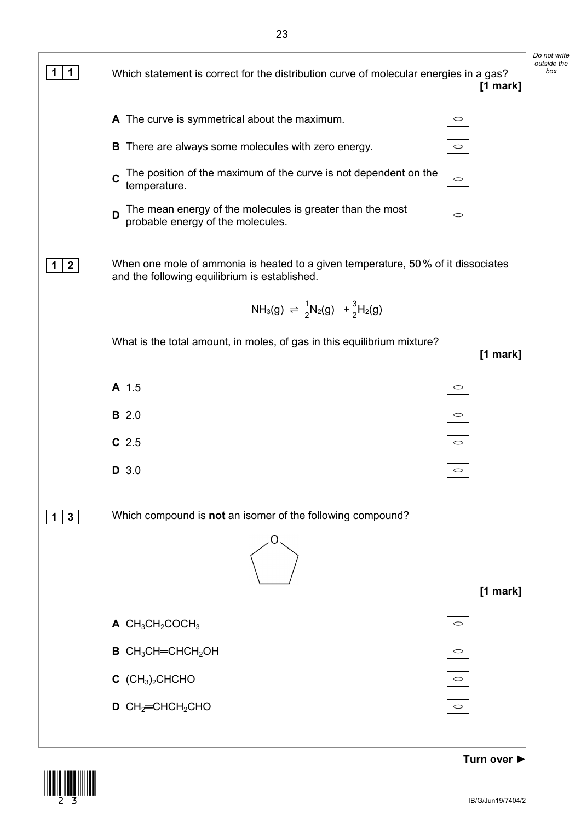

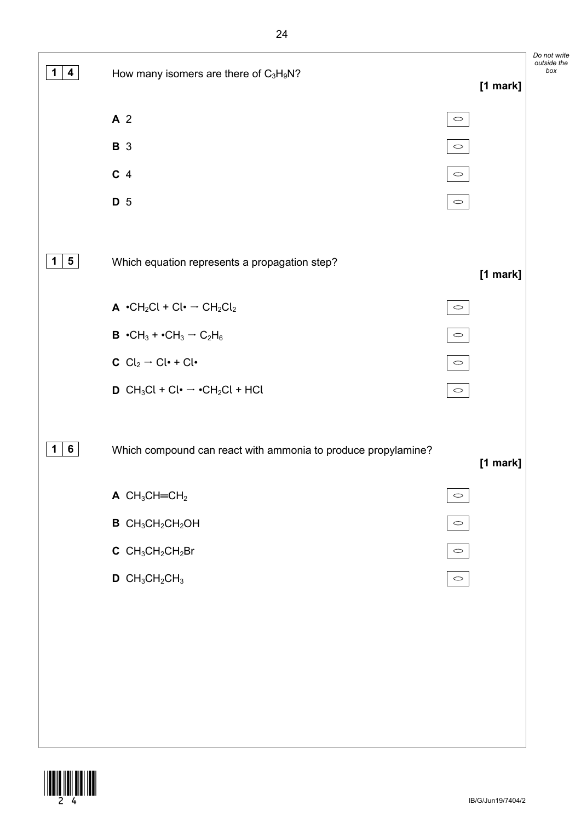*Do not write outside the*   $\boxed{1}$  **4 box** many isomers are there of  $C_3H_9N$ ? **[1 mark] A** 2  $\circ$ **B** 3  $\circ$ **C** 4  $\circlearrowright$ **D** 5  $\circlearrowright$ **1 5** Which equation represents a propagation step? **[1 mark]**  $\mathsf{A} \cdot \mathsf{CH}_2\mathsf{Cl} + \mathsf{Cl} \cdot \rightarrow \mathsf{CH}_2\mathsf{Cl}_2$  $\circ$ **B**  $\cdot$ CH<sub>3</sub> +  $\cdot$ CH<sub>3</sub>  $\rightarrow$  C<sub>2</sub>H<sub>6</sub>  $\circ$ **C**  $Cl_2 \rightarrow Cl \cdot + Cl \cdot$  $\circ$ **D** CH<sub>3</sub>Cl + Cl ·  $\rightarrow$  •CH<sub>2</sub>Cl + HCl  $\circ$ **1 6** Which compound can react with ammonia to produce propylamine? **[1 mark]**  $A$  CH<sub>3</sub>CH=CH<sub>2</sub>  $\circ$ **B** CH<sub>3</sub>CH<sub>2</sub>CH<sub>2</sub>OH  $\bigcirc$ **C** CH3CH2CH2Br  $\circ$  $D$  CH<sub>3</sub>CH<sub>2</sub>CH<sub>3</sub>  $\circ$ 

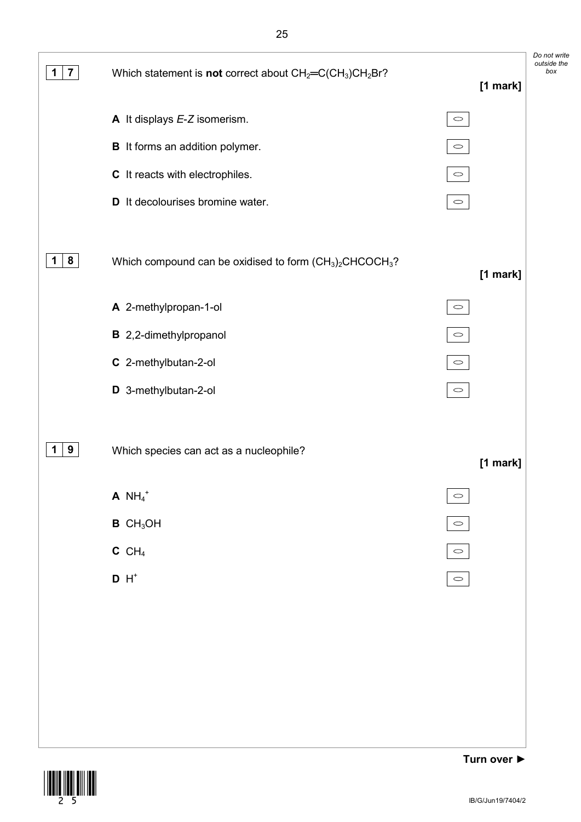

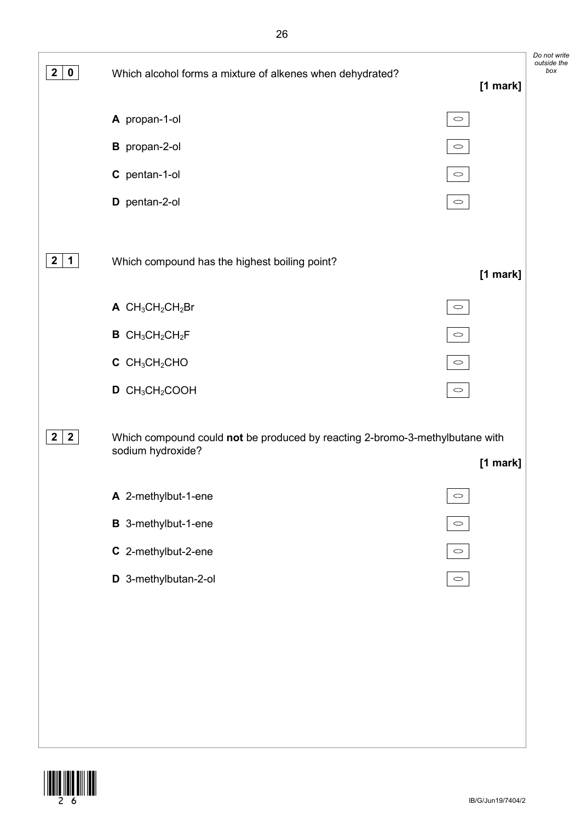

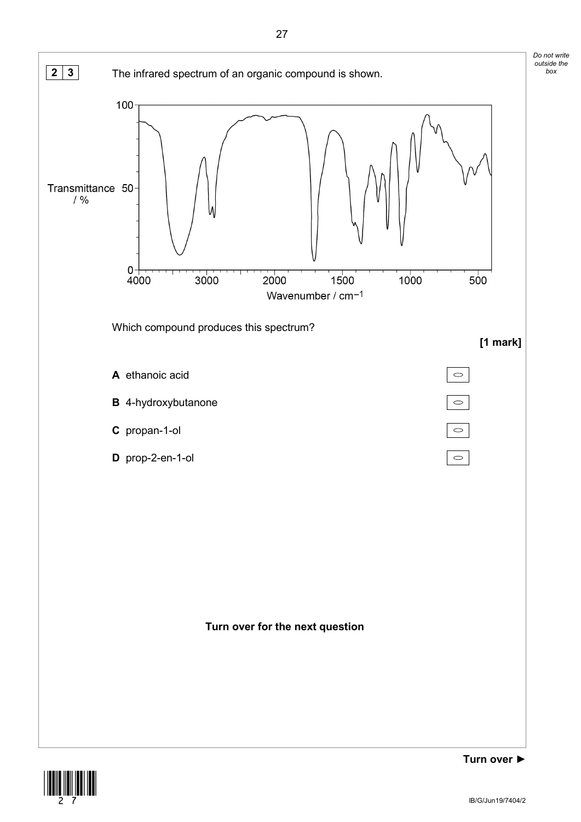